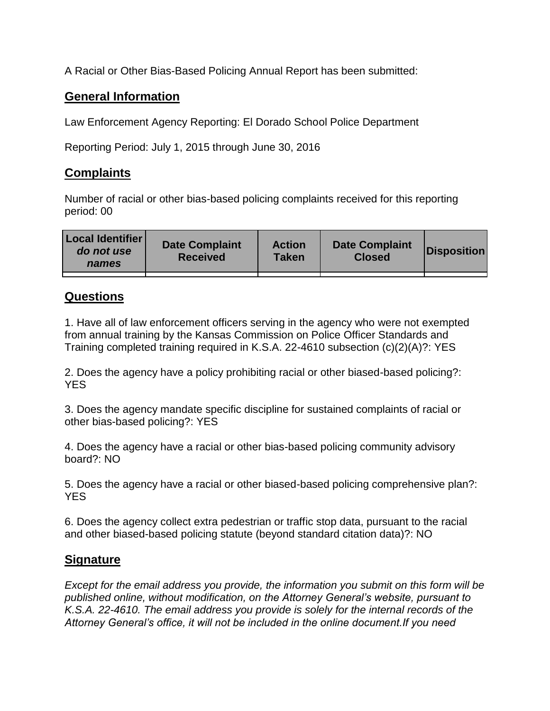A Racial or Other Bias-Based Policing Annual Report has been submitted:

## **General Information**

Law Enforcement Agency Reporting: El Dorado School Police Department

Reporting Period: July 1, 2015 through June 30, 2016

## **Complaints**

Number of racial or other bias-based policing complaints received for this reporting period: 00

| <b>Local Identifier</b><br>do not use<br>names | <b>Date Complaint</b><br><b>Received</b> | <b>Action</b><br><b>Taken</b> | <b>Date Complaint</b><br><b>Closed</b> | Disposition |
|------------------------------------------------|------------------------------------------|-------------------------------|----------------------------------------|-------------|
|                                                |                                          |                               |                                        |             |

## **Questions**

1. Have all of law enforcement officers serving in the agency who were not exempted from annual training by the Kansas Commission on Police Officer Standards and Training completed training required in K.S.A. 22-4610 subsection (c)(2)(A)?: YES

2. Does the agency have a policy prohibiting racial or other biased-based policing?: YES

3. Does the agency mandate specific discipline for sustained complaints of racial or other bias-based policing?: YES

4. Does the agency have a racial or other bias-based policing community advisory board?: NO

5. Does the agency have a racial or other biased-based policing comprehensive plan?: YES

6. Does the agency collect extra pedestrian or traffic stop data, pursuant to the racial and other biased-based policing statute (beyond standard citation data)?: NO

## **Signature**

*Except for the email address you provide, the information you submit on this form will be published online, without modification, on the Attorney General's website, pursuant to K.S.A. 22-4610. The email address you provide is solely for the internal records of the Attorney General's office, it will not be included in the online document.If you need*